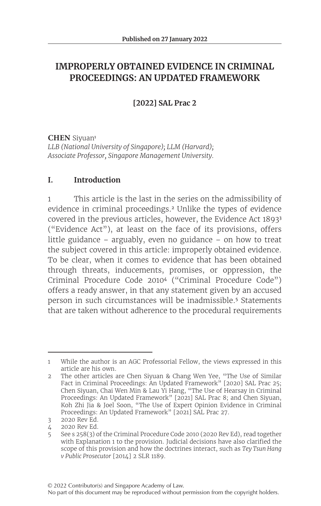# **IMPROPERLY OBTAINED EVIDENCE IN CRIMINAL PROCEEDINGS: AN UPDATED FRAMEWORK**

**[2022] SAL Prac 2**

**CHEN** Siyuan<sup>1</sup> *LLB (National University of Singapore); LLM (Harvard); Associate Professor, Singapore Management University.*

# **I. Introduction**

1 This article is the last in the series on the admissibility of evidence in criminal proceedings.<sup>2</sup> Unlike the types of evidence covered in the previous articles, however, the Evidence Act 1893<sup>3</sup> ("Evidence Act"), at least on the face of its provisions, offers little guidance – arguably, even no guidance – on how to treat the subject covered in this article: improperly obtained evidence. To be clear, when it comes to evidence that has been obtained through threats, inducements, promises, or oppression, the Criminal Procedure Code 2010<sup>4</sup> ("Criminal Procedure Code") offers a ready answer, in that any statement given by an accused person in such circumstances will be inadmissible.<sup>5</sup> Statements that are taken without adherence to the procedural requirements

No part of this document may be reproduced without permission from the copyright holders.

<sup>1</sup> While the author is an AGC Professorial Fellow, the views expressed in this article are his own.

<sup>2</sup> The other articles are Chen Siyuan & Chang Wen Yee, "The Use of Similar Fact in Criminal Proceedings: An Updated Framework" [2020] SAL Prac 25; Chen Siyuan, Chai Wen Min & Lau Yi Hang, "The Use of Hearsay in Criminal Proceedings: An Updated Framework" [2021] SAL Prac 8; and Chen Siyuan, Koh Zhi Jia & Joel Soon, "The Use of Expert Opinion Evidence in Criminal Proceedings: An Updated Framework" [2021] SAL Prac 27.

<sup>3</sup> 2020 Rev Ed.

<sup>4</sup> 2020 Rev Ed.

<sup>5</sup> See s 258(3) of the Criminal Procedure Code 2010 (2020 Rev Ed), read together with Explanation 1 to the provision. Judicial decisions have also clarified the scope of this provision and how the doctrines interact, such as *Tey Tsun Hang v Public Prosecutor* [2014] 2 SLR 1189.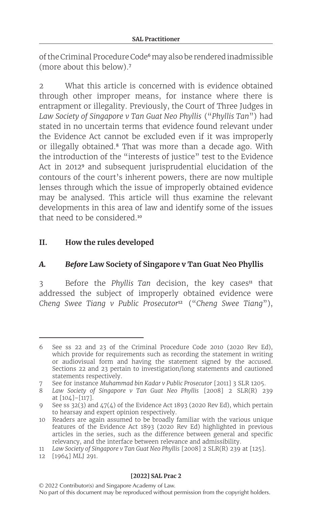of the Criminal Procedure Code<sup>6</sup> may also be rendered inadmissible (more about this below).<sup>7</sup>

2 What this article is concerned with is evidence obtained through other improper means, for instance where there is entrapment or illegality. Previously, the Court of Three Judges in *Law Society of Singapore v Tan Guat Neo Phyllis* ("*Phyllis Tan*") had stated in no uncertain terms that evidence found relevant under the Evidence Act cannot be excluded even if it was improperly or illegally obtained.<sup>8</sup> That was more than a decade ago. With the introduction of the "interests of justice" test to the Evidence Act in 2012<sup>9</sup> and subsequent jurisprudential elucidation of the contours of the court's inherent powers, there are now multiple lenses through which the issue of improperly obtained evidence may be analysed. This article will thus examine the relevant developments in this area of law and identify some of the issues that need to be considered <sup>10</sup>

# **II. How the rules developed**

## *A. Before* **Law Society of Singapore v Tan Guat Neo Phyllis**

3 Before the *Phyllis Tan* decision, the key cases<sup>11</sup> that addressed the subject of improperly obtained evidence were *Cheng Swee Tiang v Public Prosecutor*<sup>12</sup> ("*Cheng Swee Tiang*"),

<sup>6</sup> See ss 22 and 23 of the Criminal Procedure Code 2010 (2020 Rev Ed), which provide for requirements such as recording the statement in writing or audiovisual form and having the statement signed by the accused. Sections 22 and 23 pertain to investigation/long statements and cautioned statements respectively.

<sup>7</sup> See for instance *Muhammad bin Kadar v Public Prosecutor* [2011] 3 SLR 1205.

<sup>8</sup> *Law Society of Singapore v Tan Guat Neo Phyllis* [2008] 2 SLR(R) 239 at [104]–[117].

<sup>9</sup> See ss  $32(3)$  and  $47(4)$  of the Evidence Act 1893 (2020 Rev Ed), which pertain to hearsay and expert opinion respectively.

<sup>10</sup> Readers are again assumed to be broadly familiar with the various unique features of the Evidence Act 1893 (2020 Rev Ed) highlighted in previous articles in the series, such as the difference between general and specific relevancy, and the interface between relevance and admissibility.

<sup>11</sup> *Law Society of Singapore v Tan Guat Neo Phyllis* [2008] 2 SLR(R) 239 at [125].

<sup>12</sup> [1964] MLJ 291.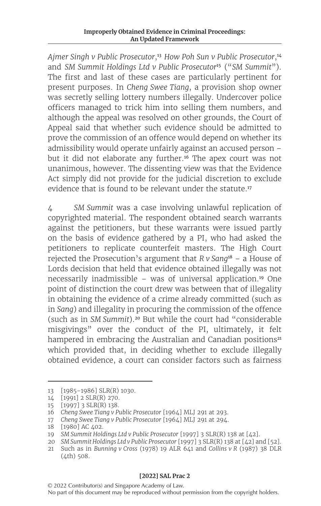*Ajmer Singh v Public Prosecutor*,<sup>13</sup> *How Poh Sun v Public Prosecutor*,<sup>14</sup> and *SM Summit Holdings Ltd v Public Prosecutor*<sup>15</sup> ("*SM Summit*"). The first and last of these cases are particularly pertinent for present purposes. In *Cheng Swee Tiang*, a provision shop owner was secretly selling lottery numbers illegally. Undercover police officers managed to trick him into selling them numbers, and although the appeal was resolved on other grounds, the Court of Appeal said that whether such evidence should be admitted to prove the commission of an offence would depend on whether its admissibility would operate unfairly against an accused person – but it did not elaborate any further.<sup>16</sup> The apex court was not unanimous, however. The dissenting view was that the Evidence Act simply did not provide for the judicial discretion to exclude evidence that is found to be relevant under the statute.<sup>17</sup>

4 *SM Summit* was a case involving unlawful replication of copyrighted material. The respondent obtained search warrants against the petitioners, but these warrants were issued partly on the basis of evidence gathered by a PI, who had asked the petitioners to replicate counterfeit masters. The High Court rejected the Prosecution's argument that *R v Sang*<sup>18</sup> – a House of Lords decision that held that evidence obtained illegally was not necessarily inadmissible – was of universal application.<sup>19</sup> One point of distinction the court drew was between that of illegality in obtaining the evidence of a crime already committed (such as in *Sang*) and illegality in procuring the commission of the offence (such as in *SM Summit*).<sup>20</sup> But while the court had "considerable misgivings" over the conduct of the PI, ultimately, it felt hampered in embracing the Australian and Canadian positions<sup>21</sup> which provided that, in deciding whether to exclude illegally obtained evidence, a court can consider factors such as fairness

<sup>13</sup> [1985–1986] SLR(R) 1030.

<sup>14</sup> [1991] 2 SLR(R) 270.

<sup>15</sup> [1997] 3 SLR(R) 138.

<sup>16</sup> *Cheng Swee Tiang v Public Prosecutor* [1964] MLJ 291 at 293.

<sup>17</sup> *Cheng Swee Tiang v Public Prosecutor* [1964] MLJ 291 at 294.

<sup>18</sup> [1980] AC 402.

<sup>19</sup> *SM Summit Holdings Ltd v Public Prosecutor* [1997] 3 SLR(R) 138 at [42].

<sup>20</sup> *SM Summit Holdings Ltd v Public Prosecutor* [1997] 3 SLR(R) 138 at [42] and [52].

<sup>21</sup> Such as in *Bunning v Cross* (1978) 19 ALR 641 and *Collins v R* (1987) 38 DLR (4th) 508.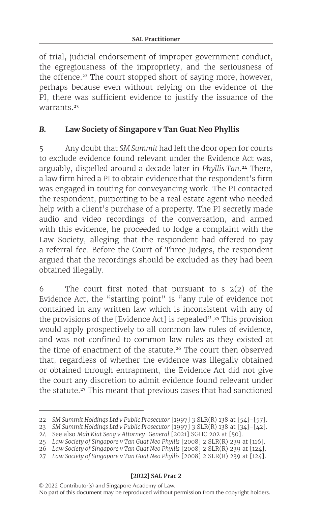of trial, judicial endorsement of improper government conduct, the egregiousness of the impropriety, and the seriousness of the offence.<sup>22</sup> The court stopped short of saying more, however, perhaps because even without relying on the evidence of the PI, there was sufficient evidence to justify the issuance of the warrants<sup>23</sup>

# *B.* **Law Society of Singapore v Tan Guat Neo Phyllis**

5 Any doubt that *SM Summit* had left the door open for courts to exclude evidence found relevant under the Evidence Act was, arguably, dispelled around a decade later in *Phyllis Tan*.<sup>24</sup> There, a law firm hired a PI to obtain evidence that the respondent's firm was engaged in touting for conveyancing work. The PI contacted the respondent, purporting to be a real estate agent who needed help with a client's purchase of a property. The PI secretly made audio and video recordings of the conversation, and armed with this evidence, he proceeded to lodge a complaint with the Law Society, alleging that the respondent had offered to pay a referral fee. Before the Court of Three Judges, the respondent argued that the recordings should be excluded as they had been obtained illegally.

6 The court first noted that pursuant to s 2(2) of the Evidence Act, the "starting point" is "any rule of evidence not contained in any written law which is inconsistent with any of the provisions of the [Evidence Act] is repealed".<sup>25</sup> This provision would apply prospectively to all common law rules of evidence, and was not confined to common law rules as they existed at the time of enactment of the statute.<sup>26</sup> The court then observed that, regardless of whether the evidence was illegally obtained or obtained through entrapment, the Evidence Act did not give the court any discretion to admit evidence found relevant under the statute.<sup>27</sup> This meant that previous cases that had sanctioned

<sup>22</sup> *SM Summit Holdings Ltd v Public Prosecutor* [1997] 3 SLR(R) 138 at [54]–[57].

<sup>23</sup> *SM Summit Holdings Ltd v Public Prosecutor* [1997] 3 SLR(R) 138 at [34]–[42].

<sup>24</sup> See also *Mah Kiat Seng v Attorney-General* [2021] SGHC 202 at [50].

<sup>25</sup> *Law Society of Singapore v Tan Guat Neo Phyllis* [2008] 2 SLR(R) 239 at [116].

<sup>26</sup> *Law Society of Singapore v Tan Guat Neo Phyllis* [2008] 2 SLR(R) 239 at [124].

<sup>27</sup> *Law Society of Singapore v Tan Guat Neo Phyllis* [2008] 2 SLR(R) 239 at [124].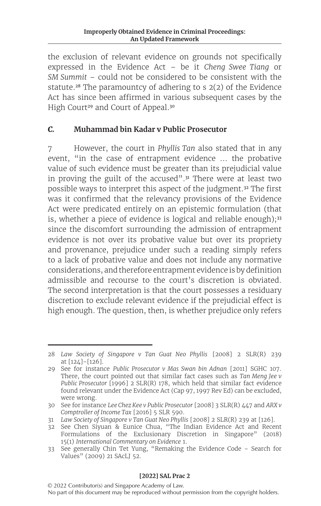the exclusion of relevant evidence on grounds not specifically expressed in the Evidence Act – be it *Cheng Swee Tiang* or *SM Summit* – could not be considered to be consistent with the statute.<sup>28</sup> The paramountcy of adhering to s  $2(2)$  of the Evidence Act has since been affirmed in various subsequent cases by the High Court<sup>29</sup> and Court of Appeal.<sup>30</sup>

## *C.* **Muhammad bin Kadar v Public Prosecutor**

7 However, the court in *Phyllis Tan* also stated that in any event, "in the case of entrapment evidence ... the probative value of such evidence must be greater than its prejudicial value in proving the guilt of the accused".<sup>31</sup> There were at least two possible ways to interpret this aspect of the judgment.<sup>32</sup> The first was it confirmed that the relevancy provisions of the Evidence Act were predicated entirely on an epistemic formulation (that is, whether a piece of evidence is logical and reliable enough); $33$ since the discomfort surrounding the admission of entrapment evidence is not over its probative value but over its propriety and provenance, prejudice under such a reading simply refers to a lack of probative value and does not include any normative considerations, and therefore entrapment evidence is by definition admissible and recourse to the court's discretion is obviated. The second interpretation is that the court possesses a residuary discretion to exclude relevant evidence if the prejudicial effect is high enough. The question, then, is whether prejudice only refers

<sup>28</sup> *Law Society of Singapore v Tan Guat Neo Phyllis* [2008] 2 SLR(R) 239 at [124]–[126].

<sup>29</sup> See for instance *Public Prosecutor v Mas Swan bin Adnan* [2011] SGHC 107. There, the court pointed out that similar fact cases such as *Tan Meng Jee v Public Prosecutor* [1996] 2 SLR(R) 178, which held that similar fact evidence found relevant under the Evidence Act (Cap 97, 1997 Rev Ed) can be excluded, were wrong.

<sup>30</sup> See for instance *Lee Chez Kee v Public Prosecutor* [2008] 3 SLR(R) 447 and *ARX v Comptroller of Income Tax* [2016] 5 SLR 590.

<sup>31</sup> *Law Society of Singapore v Tan Guat Neo Phyllis* [2008] 2 SLR(R) 239 at [126].

<sup>32</sup> See Chen Siyuan & Eunice Chua, "The Indian Evidence Act and Recent Formulations of the Exclusionary Discretion in Singapore" (2018) 15(1) *International Commentary on Evidence* 1.

<sup>33</sup> See generally Chin Tet Yung, "Remaking the Evidence Code – Search for Values" (2009) 21 SAcLJ 52.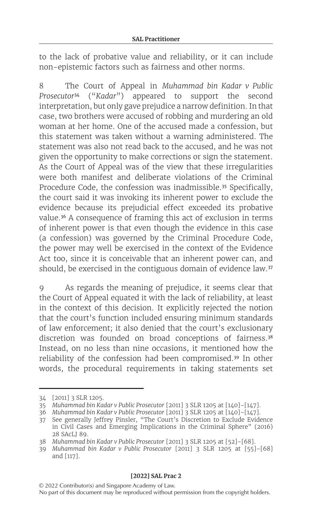to the lack of probative value and reliability, or it can include non-epistemic factors such as fairness and other norms.

8 The Court of Appeal in *Muhammad bin Kadar v Public Prosecutor*<sup>34</sup> ("*Kadar*") appeared to support the second interpretation, but only gave prejudice a narrow definition. In that case, two brothers were accused of robbing and murdering an old woman at her home. One of the accused made a confession, but this statement was taken without a warning administered. The statement was also not read back to the accused, and he was not given the opportunity to make corrections or sign the statement. As the Court of Appeal was of the view that these irregularities were both manifest and deliberate violations of the Criminal Procedure Code, the confession was inadmissible.<sup>35</sup> Specifically, the court said it was invoking its inherent power to exclude the evidence because its prejudicial effect exceeded its probative value.<sup>36</sup> A consequence of framing this act of exclusion in terms of inherent power is that even though the evidence in this case (a confession) was governed by the Criminal Procedure Code, the power may well be exercised in the context of the Evidence Act too, since it is conceivable that an inherent power can, and should, be exercised in the contiguous domain of evidence law.<sup>37</sup>

9 As regards the meaning of prejudice, it seems clear that the Court of Appeal equated it with the lack of reliability, at least in the context of this decision. It explicitly rejected the notion that the court's function included ensuring minimum standards of law enforcement; it also denied that the court's exclusionary discretion was founded on broad conceptions of fairness.<sup>38</sup> Instead, on no less than nine occasions, it mentioned how the reliability of the confession had been compromised.<sup>39</sup> In other words, the procedural requirements in taking statements set

<sup>34</sup> [2011] 3 SLR 1205.

<sup>35</sup> *Muhammad bin Kadar v Public Prosecutor* [2011] 3 SLR 1205 at [140]–[147].

<sup>36</sup> *Muhammad bin Kadar v Public Prosecutor* [2011] 3 SLR 1205 at [140]–[147].

<sup>37</sup> See generally Jeffrey Pinsler, "The Court's Discretion to Exclude Evidence in Civil Cases and Emerging Implications in the Criminal Sphere" (2016) 28 SAcLJ 89.

<sup>38</sup> *Muhammad bin Kadar v Public Prosecutor* [2011] 3 SLR 1205 at [52]–[68].

<sup>39</sup> *Muhammad bin Kadar v Public Prosecutor* [2011] 3 SLR 1205 at [55]–[68] and [117].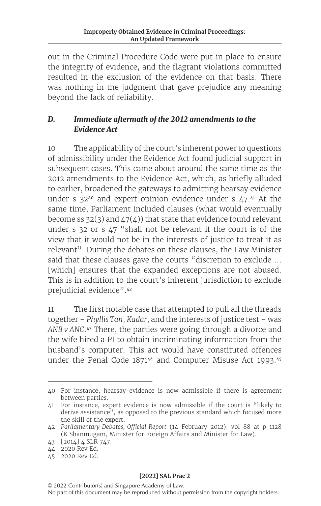out in the Criminal Procedure Code were put in place to ensure the integrity of evidence, and the flagrant violations committed resulted in the exclusion of the evidence on that basis. There was nothing in the judgment that gave prejudice any meaning beyond the lack of reliability.

# *D. Immediate aftermath of the 2012 amendments to the Evidence Act*

10 The applicability of the court's inherent power to questions of admissibility under the Evidence Act found judicial support in subsequent cases. This came about around the same time as the 2012 amendments to the Evidence Act, which, as briefly alluded to earlier, broadened the gateways to admitting hearsay evidence under s  $32^{40}$  and expert opinion evidence under s  $47.^{41}$  At the same time, Parliament included clauses (what would eventually become ss 32(3) and  $47(4)$ ) that state that evidence found relevant under s 32 or s 47 "shall not be relevant if the court is of the view that it would not be in the interests of justice to treat it as relevant". During the debates on these clauses, the Law Minister said that these clauses gave the courts "discretion to exclude ... [which] ensures that the expanded exceptions are not abused. This is in addition to the court's inherent jurisdiction to exclude prejudicial evidence".<sup>42</sup>

11 The first notable case that attempted to pull all the threads together – *Phyllis Tan*, *Kadar*, and the interests of justice test – was *ANB v ANC*.<sup>43</sup> There, the parties were going through a divorce and the wife hired a PI to obtain incriminating information from the husband's computer. This act would have constituted offences under the Penal Code 1871<sup>44</sup> and Computer Misuse Act 1993.<sup>45</sup>

<sup>40</sup> For instance, hearsay evidence is now admissible if there is agreement between parties.

<sup>41</sup> For instance, expert evidence is now admissible if the court is "likely to derive assistance", as opposed to the previous standard which focused more the skill of the expert.

<sup>42</sup> *Parliamentary Debates, Official Report* (14 February 2012), vol 88 at p 1128 (K Shanmugam, Minister for Foreign Affairs and Minister for Law).

<sup>43</sup> [2014] 4 SLR 747.

<sup>44</sup> 2020 Rev Ed.

<sup>45</sup> 2020 Rev Ed.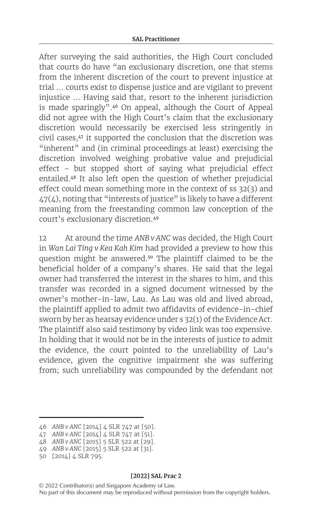After surveying the said authorities, the High Court concluded that courts do have "an exclusionary discretion, one that stems from the inherent discretion of the court to prevent injustice at trial … courts exist to dispense justice and are vigilant to prevent injustice … Having said that, resort to the inherent jurisdiction is made sparingly".<sup>46</sup> On appeal, although the Court of Appeal did not agree with the High Court's claim that the exclusionary discretion would necessarily be exercised less stringently in civil cases,<sup>47</sup> it supported the conclusion that the discretion was "inherent" and (in criminal proceedings at least) exercising the discretion involved weighing probative value and prejudicial effect – but stopped short of saying what prejudicial effect entailed.<sup>48</sup> It also left open the question of whether prejudicial effect could mean something more in the context of ss 32(3) and  $47(4)$ , noting that "interests of justice" is likely to have a different meaning from the freestanding common law conception of the court's exclusionary discretion.<sup>49</sup>

12 At around the time *ANB v ANC* was decided, the High Court in *Wan Lai Ting v Kea Kah Kim* had provided a preview to how this question might be answered.<sup>50</sup> The plaintiff claimed to be the beneficial holder of a company's shares. He said that the legal owner had transferred the interest in the shares to him, and this transfer was recorded in a signed document witnessed by the owner's mother-in-law, Lau. As Lau was old and lived abroad, the plaintiff applied to admit two affidavits of evidence-in-chief sworn by her as hearsay evidence under s 32(1) of the Evidence Act. The plaintiff also said testimony by video link was too expensive. In holding that it would not be in the interests of justice to admit the evidence, the court pointed to the unreliability of Lau's evidence, given the cognitive impairment she was suffering from; such unreliability was compounded by the defendant not

<sup>46</sup> *ANB v ANC* [2014] 4 SLR 747 at [50].

<sup>47</sup> *ANB v ANC* [2014] 4 SLR 747 at [51].

<sup>48</sup> *ANB v ANC* [2015] 5 SLR 522 at [29].

<sup>49</sup> *ANB v ANC* [2015] 5 SLR 522 at [31].

<sup>50</sup> [2014] 4 SLR 795.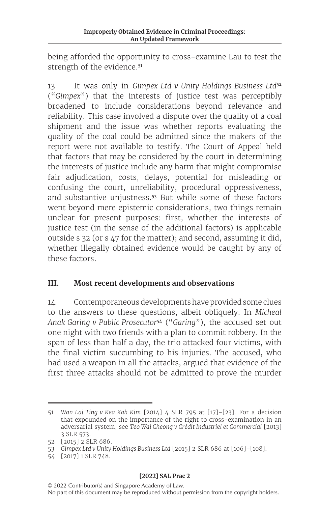being afforded the opportunity to cross-examine Lau to test the strength of the evidence.<sup>51</sup>

13 It was only in *Gimpex Ltd v Unity Holdings Business Ltd*<sup>52</sup> ("*Gimpex*") that the interests of justice test was perceptibly broadened to include considerations beyond relevance and reliability. This case involved a dispute over the quality of a coal shipment and the issue was whether reports evaluating the quality of the coal could be admitted since the makers of the report were not available to testify. The Court of Appeal held that factors that may be considered by the court in determining the interests of justice include any harm that might compromise fair adjudication, costs, delays, potential for misleading or confusing the court, unreliability, procedural oppressiveness, and substantive unjustness.<sup>53</sup> But while some of these factors went beyond mere epistemic considerations, two things remain unclear for present purposes: first, whether the interests of justice test (in the sense of the additional factors) is applicable outside s 32 (or s 47 for the matter); and second, assuming it did, whether illegally obtained evidence would be caught by any of these factors.

# **III. Most recent developments and observations**

14 Contemporaneous developments have provided some clues to the answers to these questions, albeit obliquely. In *Micheal Anak Garing v Public Prosecutor*<sup>54</sup> ("*Garing*"), the accused set out one night with two friends with a plan to commit robbery. In the span of less than half a day, the trio attacked four victims, with the final victim succumbing to his injuries. The accused, who had used a weapon in all the attacks, argued that evidence of the first three attacks should not be admitted to prove the murder

<sup>51</sup> *Wan Lai Ting v Kea Kah Kim* [2014] 4 SLR 795 at [17]–[23]. For a decision that expounded on the importance of the right to cross-examination in an adversarial system, see *Teo Wai Cheong v Crédit Industriel et Commercial* [2013] 3 SLR 573.

<sup>52</sup> [2015] 2 SLR 686.

<sup>53</sup> *Gimpex Ltd v Unity Holdings Business Ltd* [2015] 2 SLR 686 at [106]–[108].

<sup>54</sup> [2017] 1 SLR 748.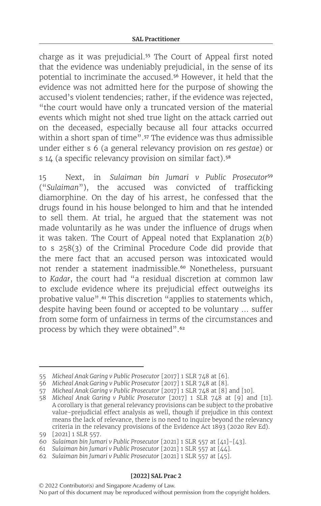charge as it was prejudicial.<sup>55</sup> The Court of Appeal first noted that the evidence was undeniably prejudicial, in the sense of its potential to incriminate the accused.<sup>56</sup> However, it held that the evidence was not admitted here for the purpose of showing the accused's violent tendencies; rather, if the evidence was rejected, "the court would have only a truncated version of the material events which might not shed true light on the attack carried out on the deceased, especially because all four attacks occurred within a short span of time".<sup>57</sup> The evidence was thus admissible under either s 6 (a general relevancy provision on *res gestae*) or s 14 (a specific relevancy provision on similar fact).<sup>58</sup>

15 Next, in *Sulaiman bin Jumari v Public Prosecutor*<sup>59</sup> ("*Sulaiman*"), the accused was convicted of trafficking diamorphine. On the day of his arrest, he confessed that the drugs found in his house belonged to him and that he intended to sell them. At trial, he argued that the statement was not made voluntarily as he was under the influence of drugs when it was taken. The Court of Appeal noted that Explanation 2(*b*) to s 258(3) of the Criminal Procedure Code did provide that the mere fact that an accused person was intoxicated would not render a statement inadmissible.<sup>60</sup> Nonetheless, pursuant to *Kadar*, the court had "a residual discretion at common law to exclude evidence where its prejudicial effect outweighs its probative value".<sup>61</sup> This discretion "applies to statements which, despite having been found or accepted to be voluntary … suffer from some form of unfairness in terms of the circumstances and process by which they were obtained".<sup>62</sup>

<sup>55</sup> *Micheal Anak Garing v Public Prosecutor* [2017] 1 SLR 748 at [6].

<sup>56</sup> *Micheal Anak Garing v Public Prosecutor* [2017] 1 SLR 748 at [8].

<sup>57</sup> *Micheal Anak Garing v Public Prosecutor* [2017] 1 SLR 748 at [8] and [10].

<sup>58</sup> *Micheal Anak Garing v Public Prosecutor* [2017] 1 SLR 748 at [9] and [11]. A corollary is that general relevancy provisions can be subject to the probative value-prejudicial effect analysis as well, though if prejudice in this context means the lack of relevance, there is no need to inquire beyond the relevancy criteria in the relevancy provisions of the Evidence Act 1893 (2020 Rev Ed).

<sup>59</sup> [2021] 1 SLR 557.

<sup>60</sup> *Sulaiman bin Jumari v Public Prosecutor* [2021] 1 SLR 557 at [41]–[43].

<sup>61</sup> *Sulaiman bin Jumari v Public Prosecutor* [2021] 1 SLR 557 at [44].

<sup>62</sup> *Sulaiman bin Jumari v Public Prosecutor* [2021] 1 SLR 557 at [45].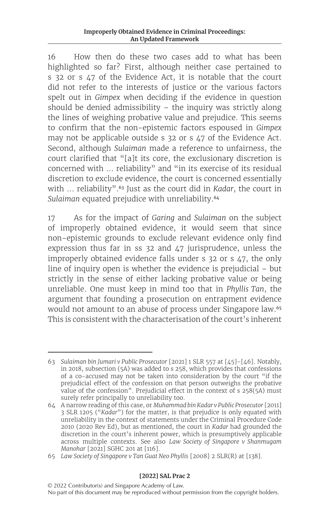16 How then do these two cases add to what has been highlighted so far? First, although neither case pertained to s 32 or s 47 of the Evidence Act, it is notable that the court did not refer to the interests of justice or the various factors spelt out in *Gimpex* when deciding if the evidence in question should be denied admissibility – the inquiry was strictly along the lines of weighing probative value and prejudice. This seems to confirm that the non-epistemic factors espoused in *Gimpex* may not be applicable outside s 32 or s 47 of the Evidence Act. Second, although *Sulaiman* made a reference to unfairness, the court clarified that "[a]t its core, the exclusionary discretion is concerned with … reliability" and "in its exercise of its residual discretion to exclude evidence, the court is concerned essentially with … reliability".<sup>63</sup> Just as the court did in *Kadar*, the court in *Sulaiman* equated prejudice with unreliability.<sup>64</sup>

17 As for the impact of *Garing* and *Sulaiman* on the subject of improperly obtained evidence, it would seem that since non-epistemic grounds to exclude relevant evidence only find expression thus far in ss 32 and 47 jurisprudence, unless the improperly obtained evidence falls under s 32 or s 47, the only line of inquiry open is whether the evidence is prejudicial – but strictly in the sense of either lacking probative value or being unreliable. One must keep in mind too that in *Phyllis Tan*, the argument that founding a prosecution on entrapment evidence would not amount to an abuse of process under Singapore law.<sup>65</sup> This is consistent with the characterisation of the court's inherent

<sup>63</sup> *Sulaiman bin Jumari v Public Prosecutor* [2021] 1 SLR 557 at [45]–[46]. Notably, in 2018, subsection (5A) was added to s 258, which provides that confessions of a co-accused may not be taken into consideration by the court "if the prejudicial effect of the confession on that person outweighs the probative value of the confession". Prejudicial effect in the context of s 258(5A) must surely refer principally to unreliability too.

<sup>64</sup> A narrow reading of this case, or *Muhammad bin Kadar v Public Prosecutor* [2011] 3 SLR 1205 ("*Kadar*") for the matter, is that prejudice is only equated with unreliability in the context of statements under the Criminal Procedure Code 2010 (2020 Rev Ed), but as mentioned, the court in *Kadar* had grounded the discretion in the court's inherent power, which is presumptively applicable across multiple contexts. See also *Law Society of Singapore v Shanmugam Manohar* [2021] SGHC 201 at [116].

<sup>65</sup> *Law Society of Singapore v Tan Guat Neo Phyllis* [2008] 2 SLR(R) at [138].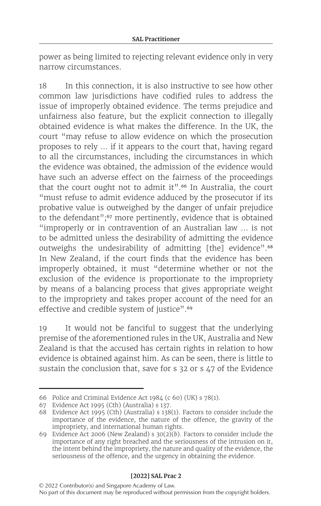power as being limited to rejecting relevant evidence only in very narrow circumstances.

18 In this connection, it is also instructive to see how other common law jurisdictions have codified rules to address the issue of improperly obtained evidence. The terms prejudice and unfairness also feature, but the explicit connection to illegally obtained evidence is what makes the difference. In the UK, the court "may refuse to allow evidence on which the prosecution proposes to rely … if it appears to the court that, having regard to all the circumstances, including the circumstances in which the evidence was obtained, the admission of the evidence would have such an adverse effect on the fairness of the proceedings that the court ought not to admit it".<sup>66</sup> In Australia, the court "must refuse to admit evidence adduced by the prosecutor if its probative value is outweighed by the danger of unfair prejudice to the defendant";<sup>67</sup> more pertinently, evidence that is obtained "improperly or in contravention of an Australian law … is not to be admitted unless the desirability of admitting the evidence outweighs the undesirability of admitting [the] evidence".<sup>68</sup> In New Zealand, if the court finds that the evidence has been improperly obtained, it must "determine whether or not the exclusion of the evidence is proportionate to the impropriety by means of a balancing process that gives appropriate weight to the impropriety and takes proper account of the need for an effective and credible system of justice".<sup>69</sup>

19 It would not be fanciful to suggest that the underlying premise of the aforementioned rules in the UK, Australia and New Zealand is that the accused has certain rights in relation to how evidence is obtained against him. As can be seen, there is little to sustain the conclusion that, save for s 32 or s 47 of the Evidence

<sup>66</sup> Police and Criminal Evidence Act 1984 (c 60) (UK) s 78(1).

<sup>67</sup> Evidence Act 1995 (Cth) (Australia) s 137.

<sup>68</sup> Evidence Act 1995 (Cth) (Australia) s 138(1). Factors to consider include the importance of the evidence, the nature of the offence, the gravity of the impropriety, and international human rights.

<sup>69</sup> Evidence Act 2006 (New Zealand) s  $30(2)(b)$ . Factors to consider include the importance of any right breached and the seriousness of the intrusion on it, the intent behind the impropriety, the nature and quality of the evidence, the seriousness of the offence, and the urgency in obtaining the evidence.